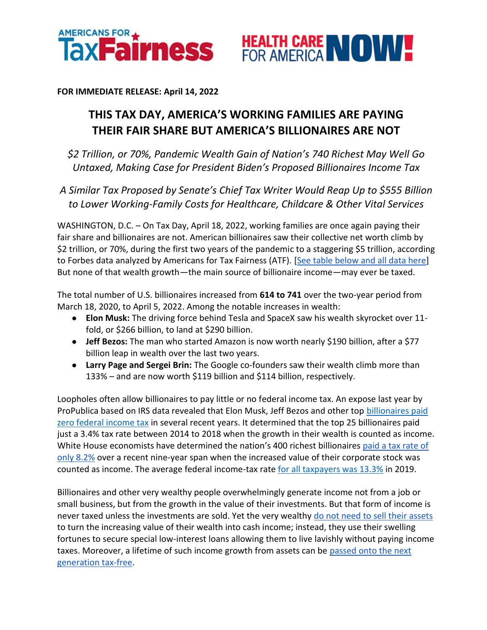



**FOR IMMEDIATE RELEASE: April 14, 2022**

## **THIS TAX DAY, AMERICA'S WORKING FAMILIES ARE PAYING THEIR FAIR SHARE BUT AMERICA'S BILLIONAIRES ARE NOT**

*\$2 Trillion, or 70%, Pandemic Wealth Gain of Nation's 740 Richest May Well Go Untaxed, Making Case for President Biden's Proposed Billionaires Income Tax*

*A Similar Tax Proposed by Senate's Chief Tax Writer Would Reap Up to \$555 Billion to Lower Working-Family Costs for Healthcare, Childcare & Other Vital Services* 

WASHINGTON, D.C. – On Tax Day, April 18, 2022, working families are once again paying their fair share and billionaires are not. American billionaires saw their collective net worth climb by \$2 trillion, or 70%, during the first two years of the pandemic to a staggering \$5 trillion, according to Forbes data analyzed by Americans for Tax Fairness (ATF). [\[See table below and all data here\]](https://docs.google.com/spreadsheets/d/1MksOhwmIojtZihAmPcfcYeaGoG3FOFZmiKUza1dIRD4/edit?usp=sharing) But none of that wealth growth—the main source of billionaire income—may ever be taxed.

The total number of U.S. billionaires increased from **614 to 741** over the two-year period from March 18, 2020, to April 5, 2022. Among the notable increases in wealth:

- **Elon Musk:** The driving force behind Tesla and SpaceX saw his wealth skyrocket over 11 fold, or \$266 billion, to land at \$290 billion.
- **Jeff Bezos:** The man who started Amazon is now worth nearly \$190 billion, after a \$77 billion leap in wealth over the last two years.
- **Larry Page and Sergei Brin:** The Google co-founders saw their wealth climb more than 133% – and are now worth \$119 billion and \$114 billion, respectively.

Loopholes often allow billionaires to pay little or no federal income tax. An expose last year by ProPublica based on IRS data revealed that Elon Musk, Jeff Bezos and other top billionaires paid [zero federal income tax](https://americansfortaxfairness.org/wp-content/uploads/ProPublica-Billionaires-Fact-Sheet-Updated.pdf) in several recent years. It determined that the top 25 billionaires paid just a 3.4% tax rate between 2014 to 2018 when the growth in their wealth is counted as income. White House economists have determined the nation's 400 richest billionaires paid a tax rate of [only 8.2%](https://www.whitehouse.gov/cea/written-materials/2021/09/23/what-is-the-average-federal-individual-income-tax-rate-on-the-wealthiest-americans/) over a recent nine-year span when the increased value of their corporate stock was counted as income. The average federal income-tax rate [for all taxpayers was 13.3%](https://taxfoundation.org/summary-latest-federal-income-tax-data-2022-update/) in 2019.

Billionaires and other very wealthy people overwhelmingly generate income not from a job or small business, but from the growth in the value of their investments. But that form of income is never taxed unless the investments are sold. Yet the very wealthy [do not need to sell their assets](https://www.wsj.com/articles/buy-borrow-die-how-rich-americans-live-off-their-paper-wealth-11625909583) to turn the increasing value of their wealth into cash income; instead, they use their swelling fortunes to secure special low-interest loans allowing them to live lavishly without paying income taxes. Moreover, a lifetime of such income growth from assets can be passed onto the next [generation tax-free.](https://americansfortaxfairness.org/issue/stop-protecting-billionaires-close-stepped-basis-loophole/)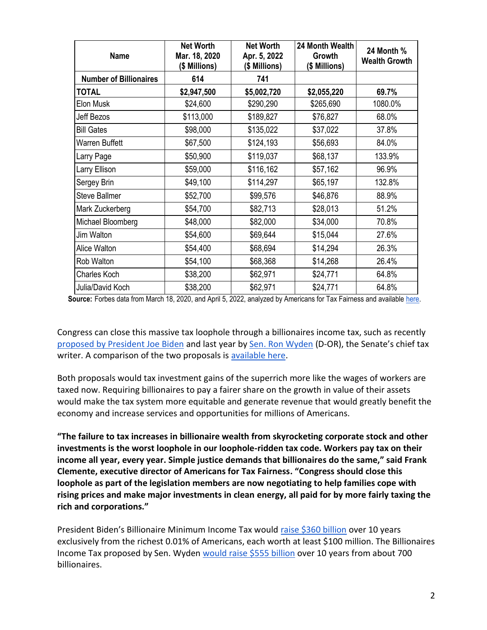| <b>Name</b>                   | <b>Net Worth</b><br>Mar. 18, 2020<br>(\$ Millions) | <b>Net Worth</b><br>Apr. 5, 2022<br>(\$ Millions) | 24 Month Wealth<br>Growth<br>(\$ Millions) | 24 Month %<br><b>Wealth Growth</b> |
|-------------------------------|----------------------------------------------------|---------------------------------------------------|--------------------------------------------|------------------------------------|
| <b>Number of Billionaires</b> | 614                                                | 741                                               |                                            |                                    |
| <b>TOTAL</b>                  | \$2,947,500                                        | \$5,002,720                                       | \$2,055,220                                | 69.7%                              |
| Elon Musk                     | \$24,600                                           | \$290,290                                         | \$265,690                                  | 1080.0%                            |
| <b>Jeff Bezos</b>             | \$113,000                                          | \$189,827                                         | \$76,827                                   | 68.0%                              |
| <b>Bill Gates</b>             | \$98,000                                           | \$135,022                                         | \$37,022                                   | 37.8%                              |
| <b>Warren Buffett</b>         | \$67,500                                           | \$124,193                                         | \$56,693                                   | 84.0%                              |
| Larry Page                    | \$50,900                                           | \$119,037                                         | \$68,137                                   | 133.9%                             |
| Larry Ellison                 | \$59,000                                           | \$116,162                                         | \$57,162                                   | 96.9%                              |
| Sergey Brin                   | \$49,100                                           | \$114,297                                         | \$65,197                                   | 132.8%                             |
| <b>Steve Ballmer</b>          | \$52,700                                           | \$99,576                                          | \$46,876                                   | 88.9%                              |
| Mark Zuckerberg               | \$54,700                                           | \$82,713                                          | \$28,013                                   | 51.2%                              |
| Michael Bloomberg             | \$48,000                                           | \$82,000                                          | \$34,000                                   | 70.8%                              |
| Jim Walton                    | \$54,600                                           | \$69,644                                          | \$15,044                                   | 27.6%                              |
| Alice Walton                  | \$54,400                                           | \$68,694                                          | \$14,294                                   | 26.3%                              |
| Rob Walton                    | \$54,100                                           | \$68,368                                          | \$14,268                                   | 26.4%                              |
| Charles Koch                  | \$38,200                                           | \$62,971                                          | \$24,771                                   | 64.8%                              |
| Julia/David Koch              | \$38,200                                           | \$62,971                                          | \$24,771                                   | 64.8%                              |

**Source:** Forbes data from March 18, 2020, and April 5, 2022, analyzed by Americans for Tax Fairness and available [here.](https://docs.google.com/spreadsheets/d/1MksOhwmIojtZihAmPcfcYeaGoG3FOFZmiKUza1dIRD4/edit?usp=sharing)

Congress can close this massive tax loophole through a billionaires income tax, such as recently [proposed by President Joe Biden](https://www.whitehouse.gov/omb/briefing-room/2022/03/28/presidents-budget-rewards-work-not-wealth-with-new-billionaire-minimum-income-tax/) and last year b[y Sen. Ron Wyden](https://www.finance.senate.gov/chairmans-news/wyden-unveils-billionaires-income-tax) (D-OR), the Senate's chief tax writer. A comparison of the two proposals is [available here.](https://americansfortaxfairness.org/issue/comparison-biden-wyden-billionaires-income-tax-proposals-short/)

Both proposals would tax investment gains of the superrich more like the wages of workers are taxed now. Requiring billionaires to pay a fairer share on the growth in value of their assets would make the tax system more equitable and generate revenue that would greatly benefit the economy and increase services and opportunities for millions of Americans.

**"The failure to tax increases in billionaire wealth from skyrocketing corporate stock and other investments is the worst loophole in our loophole-ridden tax code. Workers pay tax on their income all year, every year. Simple justice demands that billionaires do the same," said Frank Clemente, executive director of Americans for Tax Fairness. "Congress should close this loophole as part of the legislation members are now negotiating to help families cope with rising prices and make major investments in clean energy, all paid for by more fairly taxing the rich and corporations."**

President Biden's Billionaire Minimum Income Tax would [raise \\$360 billion](https://www.whitehouse.gov/omb/briefing-room/2022/03/28/presidents-budget-rewards-work-not-wealth-with-new-billionaire-minimum-income-tax/) over 10 years exclusively from the richest 0.01% of Americans, each worth at least \$100 million. The Billionaires Income Tax proposed by Sen. Wyden [would raise \\$555 billion](https://www.finance.senate.gov/chairmans-news/wyden-statement-on-billionaires-income-tax-score) over 10 years from about 700 billionaires.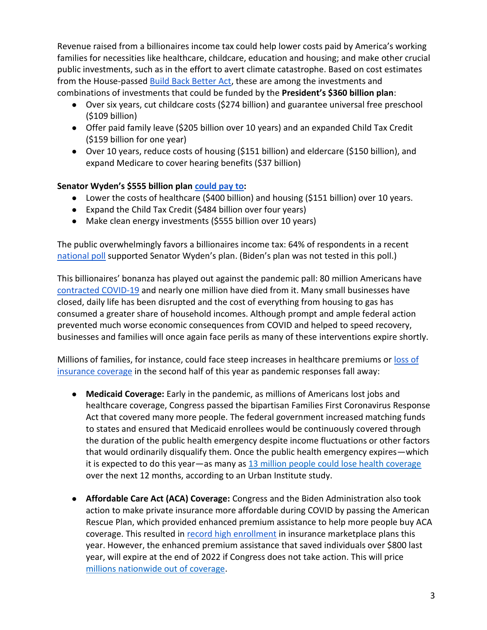Revenue raised from a billionaires income tax could help lower costs paid by America's working families for necessities like healthcare, childcare, education and housing; and make other crucial public investments, such as in the effort to avert climate catastrophe. Based on cost estimates from the House-passed [Build Back Better Act,](https://americansfortaxfairness.org/wp-content/uploads/Fact-Sheet-Nov-2021-COMPLETE-FINAL.pdf) these are among the investments and combinations of investments that could be funded by the **President's \$360 billion plan**:

- Over six years, cut childcare costs (\$274 billion) and guarantee universal free preschool (\$109 billion)
- Offer paid family leave (\$205 billion over 10 years) and an expanded Child Tax Credit (\$159 billion for one year)
- Over 10 years, reduce costs of housing (\$151 billion) and eldercare (\$150 billion), and expand Medicare to cover hearing benefits (\$37 billion)

## **Senator Wyden's \$555 billion plan [could pay t](https://americansfortaxfairness.org/issue/6-ways-spend-revenue-billionaires-income-tax/)o:**

- Lower the costs of healthcare (\$400 billion) and housing (\$151 billion) over 10 years.
- Expand the Child Tax Credit (\$484 billion over four years)
- Make clean energy investments (\$555 billion over 10 years)

The public overwhelmingly favors a billionaires income tax: 64% of respondents in a recent [national poll](https://docs.google.com/document/d/1AhWvucOLV2qY6izLkZvHpPig6DDmdFaCbmeM-5E65Xw/edit) supported Senator Wyden's plan. (Biden's plan was not tested in this poll.)

This billionaires' bonanza has played out against the pandemic pall: 80 million Americans have [contracted COVID-19](https://coronavirus.jhu.edu/) and nearly one million have died from it. Many small businesses have closed, daily life has been disrupted and the cost of everything from housing to gas has consumed a greater share of household incomes. Although prompt and ample federal action prevented much worse economic consequences from COVID and helped to speed recovery, businesses and families will once again face perils as many of these interventions expire shortly.

Millions of families, for instance, could face steep increases in healthcare premiums or [loss of](https://www.nytimes.com/2022/04/04/opinion/covid-medicaid-loss.html)  [insurance coverage](https://www.nytimes.com/2022/04/04/opinion/covid-medicaid-loss.html) in the second half of this year as pandemic responses fall away:

- **Medicaid Coverage:** Early in the pandemic, as millions of Americans lost jobs and healthcare coverage, Congress passed the bipartisan Families First Coronavirus Response Act that covered many more people. The federal government increased matching funds to states and ensured that Medicaid enrollees would be continuously covered through the duration of the public health emergency despite income fluctuations or other factors that would ordinarily disqualify them. Once the public health emergency expires—which it is expected to do this year—as many a[s](https://www.urban.org/sites/default/files/2022-03/what-will-happen-to-medicaid-enrollees-health-coverage-after-the-public-health-emergency_1_1.pdf) [13 million people could lose health coverage](https://www.urban.org/sites/default/files/2022-03/what-will-happen-to-medicaid-enrollees-health-coverage-after-the-public-health-emergency_1_1.pdf) over the next 12 months, according to an Urban Institute study.
- **Affordable Care Act (ACA) Coverage:** Congress and the Biden Administration also took action to make private insurance more affordable during COVID by passing the American Rescue Plan, which provided enhanced premium assistance to help more people buy ACA coverage. This resulted i[n](https://www.whitehouse.gov/briefing-room/statements-releases/2022/03/10/during-week-of-anniversary-of-american-rescue-plan-biden-harris-administration-highlights-health-insurance-subsidies-that-promoted-critical-increases-in-enrollment-and-cost-savings/) [record high enrollment](https://www.whitehouse.gov/briefing-room/statements-releases/2022/03/10/during-week-of-anniversary-of-american-rescue-plan-biden-harris-administration-highlights-health-insurance-subsidies-that-promoted-critical-increases-in-enrollment-and-cost-savings/) in insurance marketplace plans this year. However, the enhanced premium assistance that saved individuals over \$800 last year, will expire at the end of 2022 if Congress does not take action. This will pric[e](https://tcf.org/content/commentary/american-rescue-plans-premium-assistance-must-made-permanent/?agreed=1) [millions nationwide out of coverage.](https://tcf.org/content/commentary/american-rescue-plans-premium-assistance-must-made-permanent/?agreed=1)